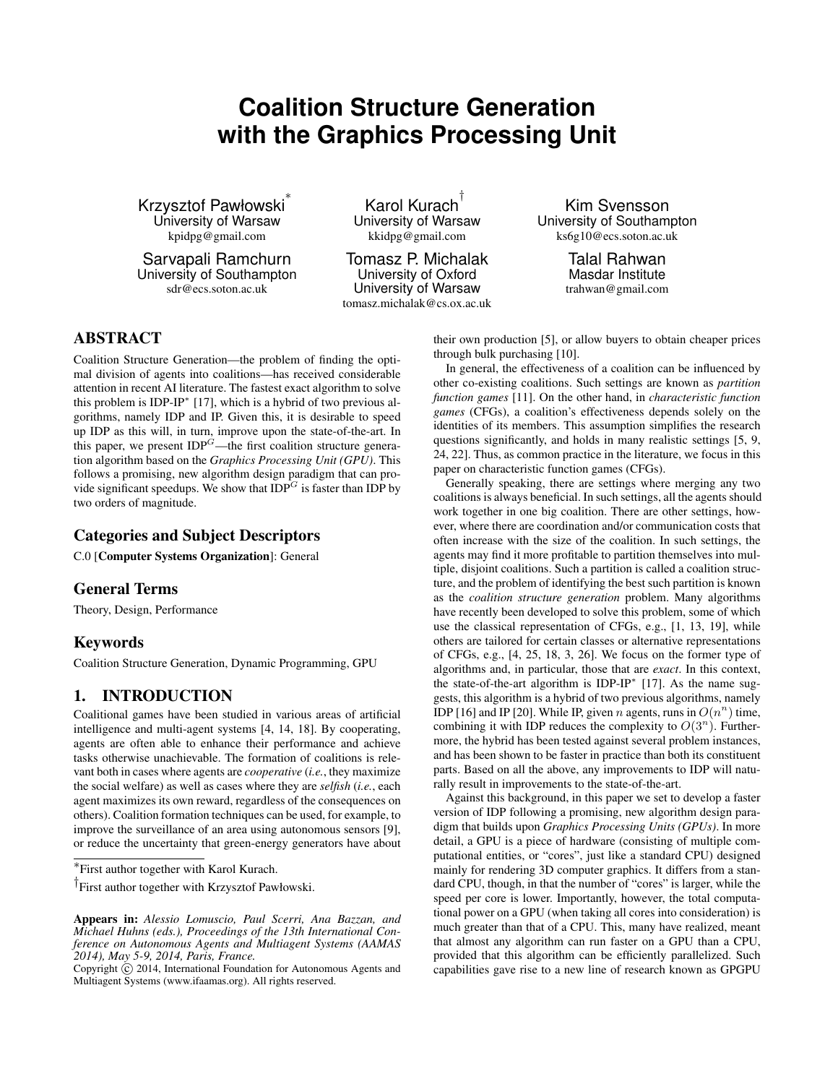# **Coalition Structure Generation with the Graphics Processing Unit**

Krzysztof Pawłowski ∗ University of Warsaw kpidpg@gmail.com

Sarvapali Ramchurn University of Southampton sdr@ecs.soton.ac.uk

Karol Kurach † University of Warsaw kkidpg@gmail.com

Tomasz P. Michalak University of Oxford University of Warsaw tomasz.michalak@cs.ox.ac.uk

Kim Svensson University of Southampton ks6g10@ecs.soton.ac.uk

> Talal Rahwan Masdar Institute trahwan@gmail.com

# ABSTRACT

Coalition Structure Generation—the problem of finding the optimal division of agents into coalitions—has received considerable attention in recent AI literature. The fastest exact algorithm to solve this problem is IDP-IP<sup>∗</sup> [17], which is a hybrid of two previous algorithms, namely IDP and IP. Given this, it is desirable to speed up IDP as this will, in turn, improve upon the state-of-the-art. In this paper, we present  $IDP<sup>G</sup>$ —the first coalition structure generation algorithm based on the *Graphics Processing Unit (GPU)*. This follows a promising, new algorithm design paradigm that can provide significant speedups. We show that  $IDP^G$  is faster than IDP by two orders of magnitude.

## Categories and Subject Descriptors

C.0 [Computer Systems Organization]: General

## General Terms

Theory, Design, Performance

## Keywords

Coalition Structure Generation, Dynamic Programming, GPU

## 1. INTRODUCTION

Coalitional games have been studied in various areas of artificial intelligence and multi-agent systems [4, 14, 18]. By cooperating, agents are often able to enhance their performance and achieve tasks otherwise unachievable. The formation of coalitions is relevant both in cases where agents are *cooperative* (*i.e.*, they maximize the social welfare) as well as cases where they are *selfish* (*i.e.*, each agent maximizes its own reward, regardless of the consequences on others). Coalition formation techniques can be used, for example, to improve the surveillance of an area using autonomous sensors [9], or reduce the uncertainty that green-energy generators have about their own production [5], or allow buyers to obtain cheaper prices through bulk purchasing [10].

In general, the effectiveness of a coalition can be influenced by other co-existing coalitions. Such settings are known as *partition function games* [11]. On the other hand, in *characteristic function games* (CFGs), a coalition's effectiveness depends solely on the identities of its members. This assumption simplifies the research questions significantly, and holds in many realistic settings [5, 9, 24, 22]. Thus, as common practice in the literature, we focus in this paper on characteristic function games (CFGs).

Generally speaking, there are settings where merging any two coalitions is always beneficial. In such settings, all the agents should work together in one big coalition. There are other settings, however, where there are coordination and/or communication costs that often increase with the size of the coalition. In such settings, the agents may find it more profitable to partition themselves into multiple, disjoint coalitions. Such a partition is called a coalition structure, and the problem of identifying the best such partition is known as the *coalition structure generation* problem. Many algorithms have recently been developed to solve this problem, some of which use the classical representation of CFGs, e.g., [1, 13, 19], while others are tailored for certain classes or alternative representations of CFGs, e.g., [4, 25, 18, 3, 26]. We focus on the former type of algorithms and, in particular, those that are *exact*. In this context, the state-of-the-art algorithm is IDP-IP<sup>∗</sup> [17]. As the name suggests, this algorithm is a hybrid of two previous algorithms, namely IDP [16] and IP [20]. While IP, given n agents, runs in  $O(n^n)$  time, combining it with IDP reduces the complexity to  $O(3^n)$ . Furthermore, the hybrid has been tested against several problem instances, and has been shown to be faster in practice than both its constituent parts. Based on all the above, any improvements to IDP will naturally result in improvements to the state-of-the-art.

Against this background, in this paper we set to develop a faster version of IDP following a promising, new algorithm design paradigm that builds upon *Graphics Processing Units (GPUs)*. In more detail, a GPU is a piece of hardware (consisting of multiple computational entities, or "cores", just like a standard CPU) designed mainly for rendering 3D computer graphics. It differs from a standard CPU, though, in that the number of "cores" is larger, while the speed per core is lower. Importantly, however, the total computational power on a GPU (when taking all cores into consideration) is much greater than that of a CPU. This, many have realized, meant that almost any algorithm can run faster on a GPU than a CPU, provided that this algorithm can be efficiently parallelized. Such capabilities gave rise to a new line of research known as GPGPU

<sup>∗</sup> First author together with Karol Kurach.

<sup>†</sup> First author together with Krzysztof Pawłowski.

Appears in: *Alessio Lomuscio, Paul Scerri, Ana Bazzan, and Michael Huhns (eds.), Proceedings of the 13th International Conference on Autonomous Agents and Multiagent Systems (AAMAS 2014), May 5-9, 2014, Paris, France.*

Copyright  $\overline{c}$  2014, International Foundation for Autonomous Agents and Multiagent Systems (www.ifaamas.org). All rights reserved.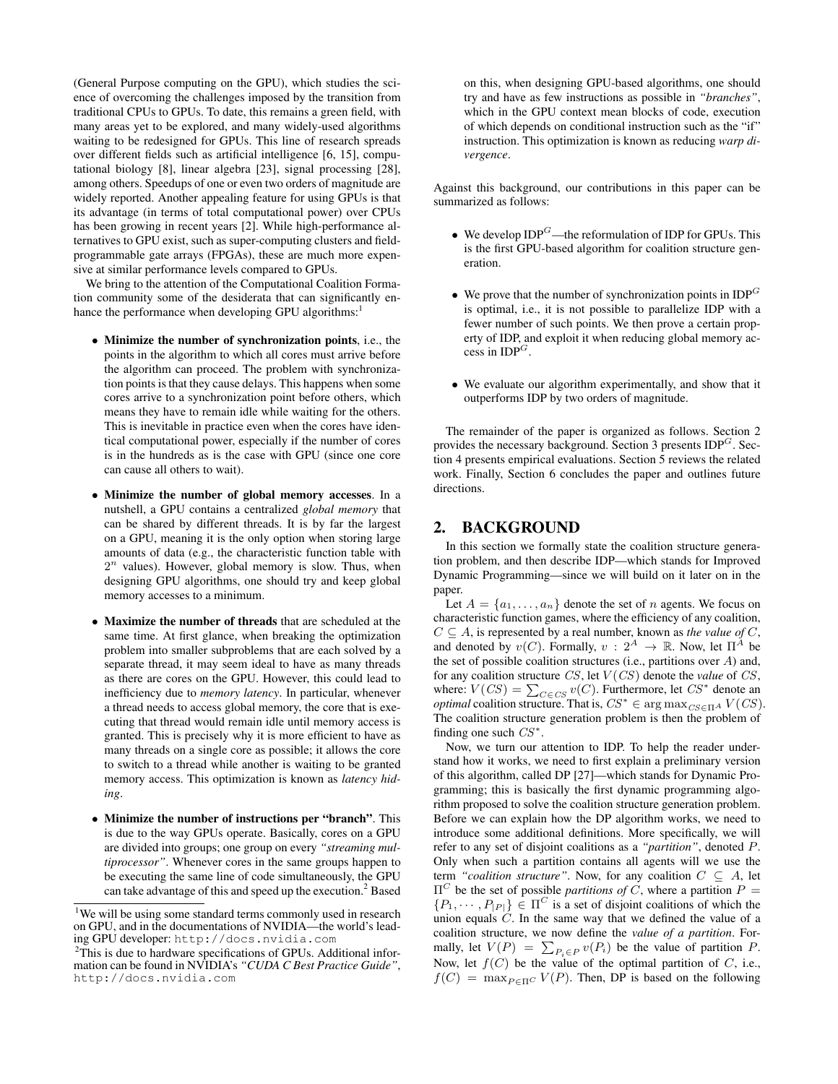(General Purpose computing on the GPU), which studies the science of overcoming the challenges imposed by the transition from traditional CPUs to GPUs. To date, this remains a green field, with many areas yet to be explored, and many widely-used algorithms waiting to be redesigned for GPUs. This line of research spreads over different fields such as artificial intelligence [6, 15], computational biology [8], linear algebra [23], signal processing [28], among others. Speedups of one or even two orders of magnitude are widely reported. Another appealing feature for using GPUs is that its advantage (in terms of total computational power) over CPUs has been growing in recent years [2]. While high-performance alternatives to GPU exist, such as super-computing clusters and fieldprogrammable gate arrays (FPGAs), these are much more expensive at similar performance levels compared to GPUs.

We bring to the attention of the Computational Coalition Formation community some of the desiderata that can significantly enhance the performance when developing GPU algorithms:<sup>1</sup>

- Minimize the number of synchronization points, i.e., the points in the algorithm to which all cores must arrive before the algorithm can proceed. The problem with synchronization points is that they cause delays. This happens when some cores arrive to a synchronization point before others, which means they have to remain idle while waiting for the others. This is inevitable in practice even when the cores have identical computational power, especially if the number of cores is in the hundreds as is the case with GPU (since one core can cause all others to wait).
- Minimize the number of global memory accesses. In a nutshell, a GPU contains a centralized *global memory* that can be shared by different threads. It is by far the largest on a GPU, meaning it is the only option when storing large amounts of data (e.g., the characteristic function table with  $2<sup>n</sup>$  values). However, global memory is slow. Thus, when designing GPU algorithms, one should try and keep global memory accesses to a minimum.
- Maximize the number of threads that are scheduled at the same time. At first glance, when breaking the optimization problem into smaller subproblems that are each solved by a separate thread, it may seem ideal to have as many threads as there are cores on the GPU. However, this could lead to inefficiency due to *memory latency*. In particular, whenever a thread needs to access global memory, the core that is executing that thread would remain idle until memory access is granted. This is precisely why it is more efficient to have as many threads on a single core as possible; it allows the core to switch to a thread while another is waiting to be granted memory access. This optimization is known as *latency hiding*.
- Minimize the number of instructions per "branch". This is due to the way GPUs operate. Basically, cores on a GPU are divided into groups; one group on every *"streaming multiprocessor"*. Whenever cores in the same groups happen to be executing the same line of code simultaneously, the GPU can take advantage of this and speed up the execution.<sup>2</sup> Based

on this, when designing GPU-based algorithms, one should try and have as few instructions as possible in *"branches"*, which in the GPU context mean blocks of code, execution of which depends on conditional instruction such as the "if" instruction. This optimization is known as reducing *warp divergence*.

Against this background, our contributions in this paper can be summarized as follows:

- We develop  $IDP^G$ —the reformulation of IDP for GPUs. This is the first GPU-based algorithm for coalition structure generation.
- We prove that the number of synchronization points in  $IDP^G$ is optimal, i.e., it is not possible to parallelize IDP with a fewer number of such points. We then prove a certain property of IDP, and exploit it when reducing global memory access in  $IDP^G$ .
- We evaluate our algorithm experimentally, and show that it outperforms IDP by two orders of magnitude.

The remainder of the paper is organized as follows. Section 2 provides the necessary background. Section 3 presents  $IDP<sup>G</sup>$ . Section 4 presents empirical evaluations. Section 5 reviews the related work. Finally, Section 6 concludes the paper and outlines future directions.

## 2. BACKGROUND

In this section we formally state the coalition structure generation problem, and then describe IDP—which stands for Improved Dynamic Programming—since we will build on it later on in the paper.

Let  $A = \{a_1, \ldots, a_n\}$  denote the set of n agents. We focus on characteristic function games, where the efficiency of any coalition,  $C \subseteq A$ , is represented by a real number, known as *the value of* C, and denoted by  $v(C)$ . Formally,  $v: 2^A \rightarrow \mathbb{R}$ . Now, let  $\Pi^A$  be the set of possible coalition structures (i.e., partitions over  $A$ ) and, for any coalition structure CS, let V (CS) denote the *value* of CS, where:  $V(CS) = \sum_{C \in CS} v(C)$ . Furthermore, let  $CS^*$  denote an *optimal* coalition structure. That is,  $CS^* \in \arg \max_{CS \in \Pi^A} V(CS)$ . The coalition structure generation problem is then the problem of finding one such  $CS^*$ .

Now, we turn our attention to IDP. To help the reader understand how it works, we need to first explain a preliminary version of this algorithm, called DP [27]—which stands for Dynamic Programming; this is basically the first dynamic programming algorithm proposed to solve the coalition structure generation problem. Before we can explain how the DP algorithm works, we need to introduce some additional definitions. More specifically, we will refer to any set of disjoint coalitions as a *"partition"*, denoted P. Only when such a partition contains all agents will we use the term *"coalition structure"*. Now, for any coalition  $C \subseteq A$ , let  $\Pi^C$  be the set of possible *partitions of* C, where a partition  $P =$  $\{P_1, \dots, P_{|P|}\} \in \Pi^C$  is a set of disjoint coalitions of which the union equals  $C$ . In the same way that we defined the value of a coalition structure, we now define the *value of a partition*. Formally, let  $V(P) = \sum_{P_i \in P} v(P_i)$  be the value of partition P. Now, let  $f(C)$  be the value of the optimal partition of C, i.e.,  $f(C) = \max_{P \in \Pi^C} V(P)$ . Then, DP is based on the following

<sup>&</sup>lt;sup>1</sup>We will be using some standard terms commonly used in research on GPU, and in the documentations of NVIDIA—the world's leading GPU developer: http://docs.nvidia.com

<sup>&</sup>lt;sup>2</sup>This is due to hardware specifications of GPUs. Additional information can be found in NVIDIA's *"CUDA C Best Practice Guide"*, http://docs.nvidia.com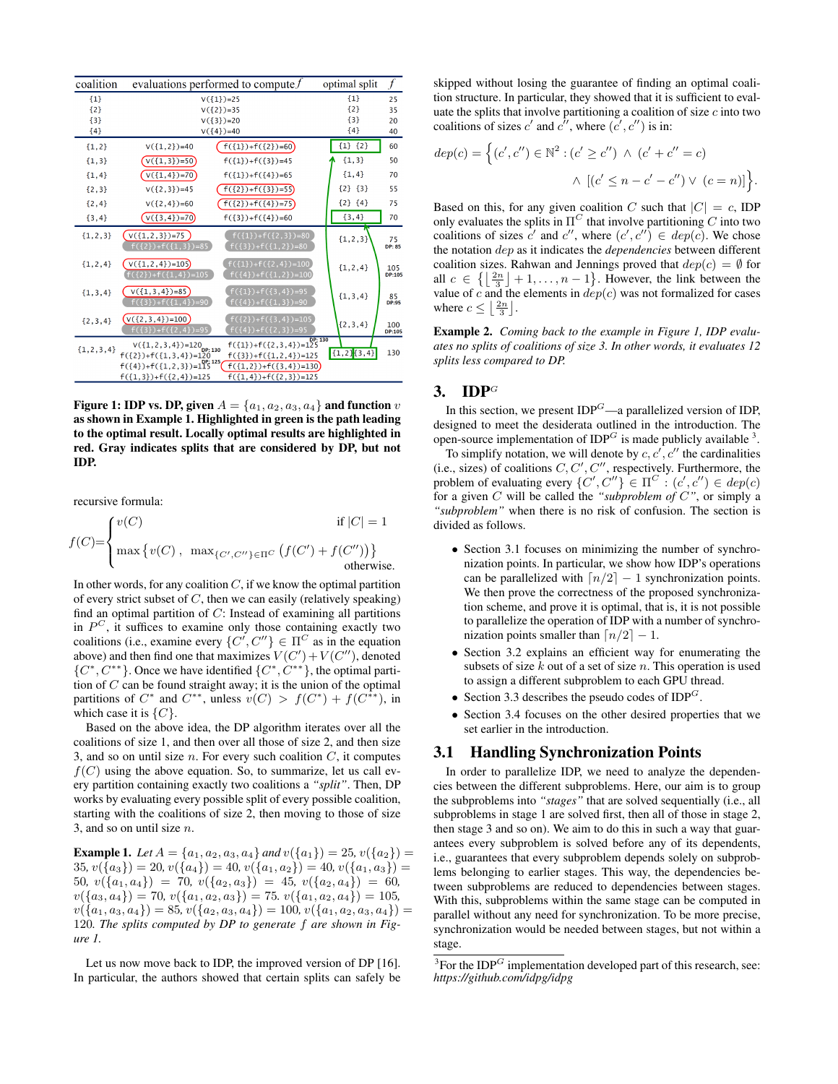| coalition      | evaluations performed to compute $f$                                                                                                                                                                     | optimal split | $\overline{f}$       |
|----------------|----------------------------------------------------------------------------------------------------------------------------------------------------------------------------------------------------------|---------------|----------------------|
| ${1}$          | $V({1})=25$                                                                                                                                                                                              | ${1}$         | 25                   |
| ${2}$          | $V({2})=35$                                                                                                                                                                                              | ${2}$         | 35                   |
| ${3}$          | $V({3})=20$                                                                                                                                                                                              | ${3}$         | 20                   |
| ${4}$          | $V({14})=40$                                                                                                                                                                                             | ${4}$         | 40                   |
| ${1,2}$        | $f({1})+f({2})=60$<br>$V({1,2})=40$                                                                                                                                                                      | ${1}$ ${2}$   | 60                   |
| ${1,3}$        | $V({1,3})=50$<br>$f({1})+f({3})=45$                                                                                                                                                                      | ${1,3}$       | 50                   |
| ${1,4}$        | $V({1,4})=70$<br>$f({1})+f({1})=65$                                                                                                                                                                      | ${1, 4}$      | 70                   |
| ${2, 3}$       | $V({2, 3})=45$<br>$f({2})+f({3})=55$                                                                                                                                                                     | ${2}$ ${3}$   | 55                   |
| ${2, 4}$       | $f({2})+f({4})=75$<br>$V({2, 4})=60$                                                                                                                                                                     | ${2}$ ${4}$   | 75                   |
| ${3, 4}$       | $V({3,4})=70$<br>$f({3})+f({4})=60$                                                                                                                                                                      | ${3, 4}$      | 70                   |
| ${1, 2, 3}$    | $f(\{1\})+f(\{2,3\})=80$<br>$V({1, 2, 3})=75$<br>$f({2})+f({1,3})=85$<br>$f({3})+f({1,2})=80$                                                                                                            | ${1, 2, 3}$   | 75<br><b>DP: 85</b>  |
| ${1, 2, 4}$    | $V({1, 2, 4})=105$<br>$f({1})+f({2,4})=100$<br>$\frac{1}{2}$ +f({1,4}) = 105<br>$f({1,2})=100$                                                                                                           | ${1, 2, 4}$   | 105<br><b>DP:105</b> |
| ${1, 3, 4}$    | $f({1})+f({3,4})=95$<br>$V({1,3,4})=85$<br>$f({3})+f({1,4})=90$<br>$f({4})+f({1,3})=90$                                                                                                                  | ${1, 3, 4}$   | $85$<br>DP:95        |
| ${2, 3, 4}$    | $f({2})+f({3,4})=105$<br>$(v({2, 3, 4})=100)$<br>$f({3})+f({2,4})=95$<br>$f({4})+f({2,3})=95$                                                                                                            | ${2, 3, 4}$   | 100<br><b>DP:105</b> |
| ${1, 2, 3, 4}$ | $f(\{1\})+f(\{2,3,4\})=125$<br>$V(\{1, 2, 3, 4\}) = 120$ <sub>DP; 130</sub><br>$f({2})+f({1,3,4})=120$<br>$f({3})+f({1,2,4})=125$<br>$f(\{4\})+f(\{1,2,3\})=115^{0P;125}$<br>$f(\{1,2\})+f(\{3,4\})=130$ | ${1,2}$ {3,4} | 130                  |
|                | $f({1, 4})+f({2, 3})=125$<br>$f({1,3})+f({2,4})=125$                                                                                                                                                     |               |                      |

Figure 1: IDP vs. DP, given  $A = \{a_1, a_2, a_3, a_4\}$  and function  $v$ as shown in Example 1. Highlighted in green is the path leading to the optimal result. Locally optimal results are highlighted in red. Gray indicates splits that are considered by DP, but not IDP.

recursive formula:

$$
f(C) = \begin{cases} v(C) & \text{if } |C| = 1\\ \max \{v(C), \max_{\{C', C''\} \in \Pi^C} (f(C') + f(C''))\} & \text{otherwise.} \end{cases}
$$

In other words, for any coalition  $C$ , if we know the optimal partition of every strict subset of  $C$ , then we can easily (relatively speaking) find an optimal partition of  $C$ : Instead of examining all partitions in  $P^C$ , it suffices to examine only those containing exactly two coalitions (i.e., examine every  $\{C', C''\} \in \Pi^C$  as in the equation above) and then find one that maximizes  $V(C') + V(C'')$ , denoted  $\{C^*, C^{**}\}.$  Once we have identified  $\{C^*, C^{**}\}.$  the optimal partition of  $C$  can be found straight away; it is the union of the optimal partitions of  $C^*$  and  $C^{**}$ , unless  $v(C) > f(C^*) + f(C^{**})$ , in which case it is  $\{C\}.$ 

Based on the above idea, the DP algorithm iterates over all the coalitions of size 1, and then over all those of size 2, and then size 3, and so on until size  $n$ . For every such coalition  $C$ , it computes  $f(C)$  using the above equation. So, to summarize, let us call every partition containing exactly two coalitions a *"split"*. Then, DP works by evaluating every possible split of every possible coalition, starting with the coalitions of size 2, then moving to those of size 3, and so on until size  $n$ .

**Example 1.** Let  $A = \{a_1, a_2, a_3, a_4\}$  and  $v(\{a_1\}) = 25$ ,  $v(\{a_2\}) =$ 35,  $v({a_3}) = 20, v({a_4}) = 40, v({a_1, a_2}) = 40, v({a_1, a_3}) = 40$ 50*,*  $v({a_1, a_4}) = 70$ ,  $v({a_2, a_3}) = 45$ ,  $v({a_2, a_4}) = 60$ ,  $v({a_3, a_4}) = 70, v({a_1, a_2, a_3}) = 75, v({a_1, a_2, a_4}) = 105,$  $v(\{a_1, a_3, a_4\}) = 85, v(\{a_2, a_3, a_4\}) = 100, v(\{a_1, a_2, a_3, a_4\}) =$ 120*. The splits computed by DP to generate* f *are shown in Figure 1.*

Let us now move back to IDP, the improved version of DP [16]. In particular, the authors showed that certain splits can safely be skipped without losing the guarantee of finding an optimal coalition structure. In particular, they showed that it is sufficient to evaluate the splits that involve partitioning a coalition of size  $c$  into two coalitions of sizes c' and  $c^{\prime\prime}$ , where  $(c^{\prime}, c^{\prime\prime})$  is in:

$$
dep(c) = \left\{ (c', c'') \in \mathbb{N}^2 : (c' \ge c'') \ \land \ (c' + c'' = c) \right\}
$$

$$
\land \ [(c' \le n - c' - c'') \lor (c = n)] \right\}.
$$

Based on this, for any given coalition C such that  $|C| = c$ , IDP only evaluates the splits in  $\Pi^C$  that involve partitioning C into two coalitions of sizes  $c'$  and  $c''$ , where  $(c', c'') \in dep(c)$ . We chose the notation dep as it indicates the *dependencies* between different coalition sizes. Rahwan and Jennings proved that  $dep(c) = \emptyset$  for all  $c \in \left\{ \left\lfloor \frac{2n}{3} \right\rfloor + 1, \ldots, n-1 \right\}$ . However, the link between the value of c and the elements in  $dep(c)$  was not formalized for cases where  $c \leq \left\lfloor \frac{2n}{3} \right\rfloor$ .

Example 2. *Coming back to the example in Figure 1, IDP evaluates no splits of coalitions of size 3. In other words, it evaluates 12 splits less compared to DP.*

## 3. **IDP**<sup>G</sup>

In this section, we present  $IDP<sup>G</sup>$ —a parallelized version of IDP, designed to meet the desiderata outlined in the introduction. The open-source implementation of IDP $G$  is made publicly available  $3$ .

To simplify notation, we will denote by  $c, c', c''$  the cardinalities (i.e., sizes) of coalitions  $C, C', C''$ , respectively. Furthermore, the problem of evaluating every  $\{C', C''\} \in \Pi^C : (c', c'') \in dep(c)$ for a given C will be called the *"subproblem of* C*"*, or simply a *"subproblem"* when there is no risk of confusion. The section is divided as follows.

- Section 3.1 focuses on minimizing the number of synchronization points. In particular, we show how IDP's operations can be parallelized with  $\lceil n/2 \rceil - 1$  synchronization points. We then prove the correctness of the proposed synchronization scheme, and prove it is optimal, that is, it is not possible to parallelize the operation of IDP with a number of synchronization points smaller than  $\lceil n/2 \rceil - 1$ .
- Section 3.2 explains an efficient way for enumerating the subsets of size  $k$  out of a set of size  $n$ . This operation is used to assign a different subproblem to each GPU thread.
- Section 3.3 describes the pseudo codes of IDP<sup>G</sup>.
- Section 3.4 focuses on the other desired properties that we set earlier in the introduction.

#### 3.1 Handling Synchronization Points

In order to parallelize IDP, we need to analyze the dependencies between the different subproblems. Here, our aim is to group the subproblems into *"stages"* that are solved sequentially (i.e., all subproblems in stage 1 are solved first, then all of those in stage 2, then stage 3 and so on). We aim to do this in such a way that guarantees every subproblem is solved before any of its dependents, i.e., guarantees that every subproblem depends solely on subproblems belonging to earlier stages. This way, the dependencies between subproblems are reduced to dependencies between stages. With this, subproblems within the same stage can be computed in parallel without any need for synchronization. To be more precise, synchronization would be needed between stages, but not within a stage.

 ${}^{3}$ For the IDP<sup>G</sup> implementation developed part of this research, see: *https://github.com/idpg/idpg*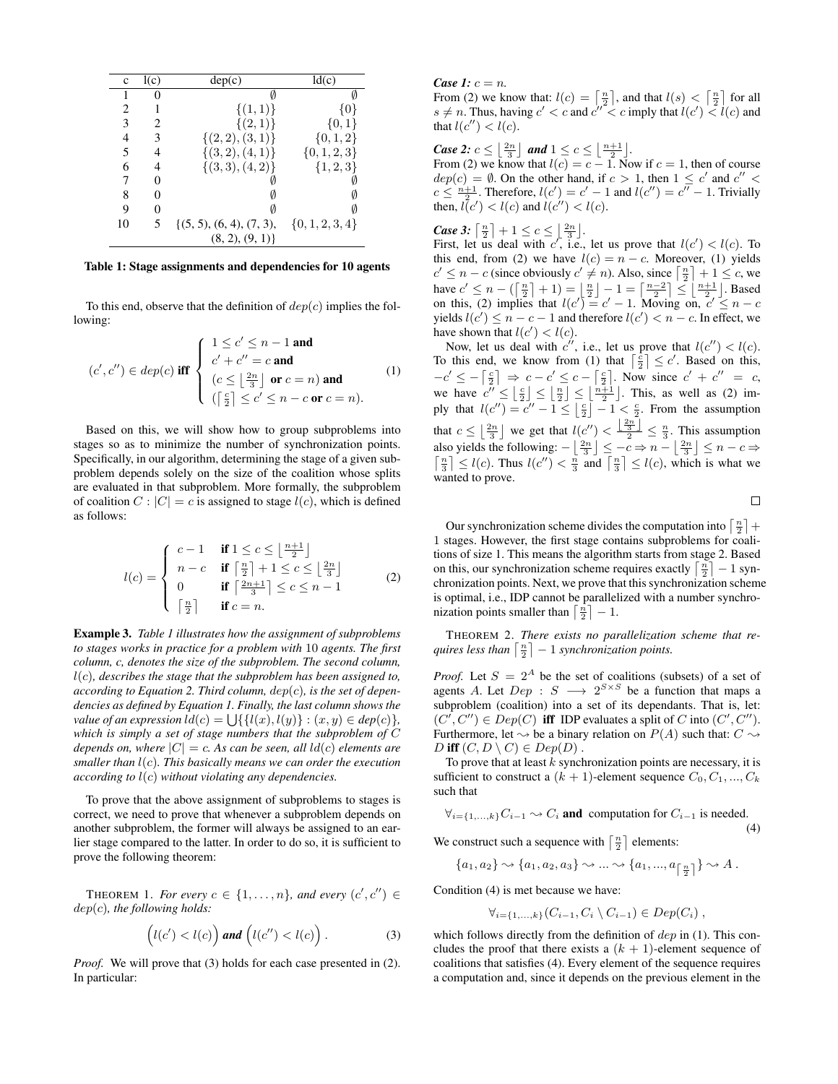| c  | l(c)     | dep(c)                      | ld(c)               |
|----|----------|-----------------------------|---------------------|
|    | $\theta$ |                             |                     |
| 2  | 1        | $\{(1,1)\}\$                | {0}                 |
| 3  | 2        | $\{(2,1)\}\$                | ${0,1}$             |
| 4  | 3        | $\{(2,2),(3,1)\}\$          | $\{0, 1, 2\}$       |
| 5  | 4        | $\{(3,2),(4,1)\}\$          | $\{0, 1, 2, 3\}$    |
| 6  | 4        | $\{(3,3), (4,2)\}\$         | $\{1, 2, 3\}$       |
| 7  | 0        |                             |                     |
| 8  | 0        |                             |                     |
| 9  | 0        |                             | Ø                   |
| 10 | 5        | $\{(5, 5), (6, 4), (7, 3),$ | $\{0, 1, 2, 3, 4\}$ |
|    |          | (8, 2), (9, 1)              |                     |

Table 1: Stage assignments and dependencies for 10 agents

To this end, observe that the definition of  $dep(c)$  implies the following:

$$
(c', c'') \in dep(c) \text{ iff } \begin{cases} 1 \leq c' \leq n-1 \text{ and} \\ c' + c'' = c \text{ and} \\ (c \leq \lfloor \frac{2n}{3} \rfloor \text{ or } c = n) \text{ and} \\ (\lceil \frac{c}{2} \rceil \leq c' \leq n - c \text{ or } c = n). \end{cases} (1)
$$

Based on this, we will show how to group subproblems into stages so as to minimize the number of synchronization points. Specifically, in our algorithm, determining the stage of a given subproblem depends solely on the size of the coalition whose splits are evaluated in that subproblem. More formally, the subproblem of coalition  $C: |C| = c$  is assigned to stage  $l(c)$ , which is defined as follows:

$$
l(c) = \begin{cases} c-1 & \text{if } 1 \le c \le \left\lfloor \frac{n+1}{2} \right\rfloor \\ n-c & \text{if } \left\lceil \frac{n}{2} \right\rceil + 1 \le c \le \left\lfloor \frac{2n}{3} \right\rfloor \\ 0 & \text{if } \left\lceil \frac{2n+1}{3} \right\rceil \le c \le n-1 \\ \left\lceil \frac{n}{2} \right\rceil & \text{if } c=n. \end{cases}
$$
 (2)

Example 3. *Table 1 illustrates how the assignment of subproblems to stages works in practice for a problem with* 10 *agents. The first column, c, denotes the size of the subproblem. The second column,* l(c)*, describes the stage that the subproblem has been assigned to, according to Equation 2. Third column,* dep(c)*, is the set of dependencies as defined by Equation 1. Finally, the last column shows the value of an expression*  $ld(c) = \bigcup \{ \{ l(x), l(y) \} : (x, y) \in dep(c) \},\$ *which is simply a set of stage numbers that the subproblem of* C *depends on, where*  $|C| = c$ . As can be seen, all  $ld(c)$  elements are *smaller than* l(c)*. This basically means we can order the execution according to* l(c) *without violating any dependencies.*

To prove that the above assignment of subproblems to stages is correct, we need to prove that whenever a subproblem depends on another subproblem, the former will always be assigned to an earlier stage compared to the latter. In order to do so, it is sufficient to prove the following theorem:

THEOREM 1. *For every*  $c \in \{1, \ldots, n\}$ , and every  $(c', c'') \in$ dep(c)*, the following holds:*

$$
\left(l(c') < l(c)\right) \text{ and } \left(l(c'') < l(c)\right). \tag{3}
$$

*Proof.* We will prove that (3) holds for each case presented in (2). In particular:

*Case 1:*  $c = n$ *.* 

From (2) we know that:  $l(c) = \left\lceil \frac{n}{2} \right\rceil$ , and that  $l(s) < \left\lceil \frac{n}{2} \right\rceil$  for all  $s \neq n$ . Thus, having  $c' < c$  and  $c'' < c$  imply that  $l(c') < l(c)$  and that  $l(c'') < l(c)$ .

*Case 2:*  $c \leq \left\lfloor \frac{2n}{3} \right\rfloor$  and  $1 \leq c \leq \left\lfloor \frac{n+1}{2} \right\rfloor$ .

From (2) we know that  $l(c) = c - 1$ . Now if  $c = 1$ , then of course  $dep(c) = \emptyset$ . On the other hand, if  $c > 1$ , then  $1 \leq c'$  and  $c'' <$  $c \leq \frac{n+1}{2}$ . Therefore,  $l(c') = c' - 1$  and  $l(c'') = c'' - 1$ . Trivially then,  $l(c') < l(c)$  and  $l(c'') < l(c)$ .

*Case 3:*  $\lceil \frac{n}{2} \rceil + 1 \leq c \leq \lfloor \frac{2n}{3} \rfloor$ .

First, let us deal with c', i.e., let us prove that  $l(c') < l(c)$ . To this end, from (2) we have  $l(c) = n - c$ . Moreover, (1) yields  $c' \leq n - c$  (since obviously  $c' \neq n$ ). Also, since  $\lceil \frac{n}{2} \rceil + 1 \leq c$ , we have  $c' \leq n - (\lceil \frac{n}{2} \rceil + 1) = \lfloor \frac{n}{2} \rfloor - 1 = \lceil \frac{n-2}{2} \rceil \leq \lfloor \frac{n+1}{2} \rfloor$ . Based on this, (2) implies that  $l(c') = c' - 1$ . Moving on,  $c' \leq n - c$ yields  $l(c') \leq n - c - 1$  and therefore  $l(c') < n - c$ . In effect, we have shown that  $l(c') < l(c)$ .

Now, let us deal with c'', i.e., let us prove that  $l(c'') < l(c)$ . To this end, we know from (1) that  $\lceil \frac{c}{2} \rceil \leq c'$ . Based on this,  $-c' \leq -\left\lceil \frac{c}{2} \right\rceil \Rightarrow c - c' \leq c - \left\lceil \frac{c}{2} \right\rceil$ . Now since  $c' + c'' = c$ , we have  $c'' \leq \lfloor \frac{c}{2} \rfloor \leq \lfloor \frac{n}{2} \rfloor \leq \lfloor \frac{n+1}{2} \rfloor$ . This, as well as (2) imply that  $l(c'') = c'' - 1 \leq \left\lfloor \frac{c}{2} \right\rfloor - 1 < \frac{c}{2}$ . From the assumption that  $c \leq \left\lfloor \frac{2n}{3} \right\rfloor$  we get that  $l(c'') < \frac{\left\lfloor \frac{2n}{3} \right\rfloor}{2} \leq \frac{n}{3}$ . This assumption also yields the following:  $-\left\lfloor \frac{2n}{3} \right\rfloor \leq -c \Rightarrow n - \left\lfloor \frac{2n}{3} \right\rfloor$ ſ So yields the following:  $-\left\lfloor \frac{2n}{3} \right\rfloor \leq -c \Rightarrow n - \left\lfloor \frac{2n}{3} \right\rfloor \leq n - c \Rightarrow$ <br> $\frac{n}{3}$  | ≤ l(c). Thus l(c'') <  $\frac{n}{3}$  and  $\left\lceil \frac{n}{3} \right\rceil \leq l(c)$ , which is what we wanted to prove.

 $\Box$ 

(4)

Our synchronization scheme divides the computation into  $\lceil \frac{n}{2} \rceil$  + 1 stages. However, the first stage contains subproblems for coalitions of size 1. This means the algorithm starts from stage 2. Based on this, our synchronization scheme requires exactly  $\lceil \frac{n}{2} \rceil - 1$  synchronization points. Next, we prove that this synchronization scheme is optimal, i.e., IDP cannot be parallelized with a number synchronization points smaller than  $\lceil \frac{n}{2} \rceil - 1$ .

THEOREM 2. *There exists no parallelization scheme that requires less than*  $\lceil \frac{n}{2} \rceil - 1$  *synchronization points.* 

*Proof.* Let  $S = 2^A$  be the set of coalitions (subsets) of a set of agents A. Let  $Dep : S \longrightarrow 2^{S \times S}$  be a function that maps a subproblem (coalition) into a set of its dependants. That is, let:  $(C', C'') \in Dep(C)$  iff IDP evaluates a split of C into  $(C', C'')$ . Furthermore, let  $\rightsquigarrow$  be a binary relation on  $P(A)$  such that:  $C \rightsquigarrow$ D iff  $(C, D \setminus C) \in Dep(D)$ .

To prove that at least  $k$  synchronization points are necessary, it is sufficient to construct a  $(k + 1)$ -element sequence  $C_0, C_1, ..., C_k$ such that

$$
\forall_{i=\{1,\dots,k\}} C_{i-1} \sim C_i \text{ and computation for } C_{i-1} \text{ is needed.}
$$

We construct such a sequence with  $\lceil \frac{n}{2} \rceil$  elements:

 ${a_1, a_2} \rightarrow {a_1, a_2, a_3} \rightarrow ... \rightarrow {a_1, ..., a_{\lfloor \frac{n}{2} \rfloor}} \rightarrow A$ .

Condition (4) is met because we have:

$$
\forall_{i=\{1,\ldots,k\}} (C_{i-1}, C_i \setminus C_{i-1}) \in Dep(C_i),
$$

which follows directly from the definition of  $dep$  in (1). This concludes the proof that there exists a  $(k + 1)$ -element sequence of coalitions that satisfies (4). Every element of the sequence requires a computation and, since it depends on the previous element in the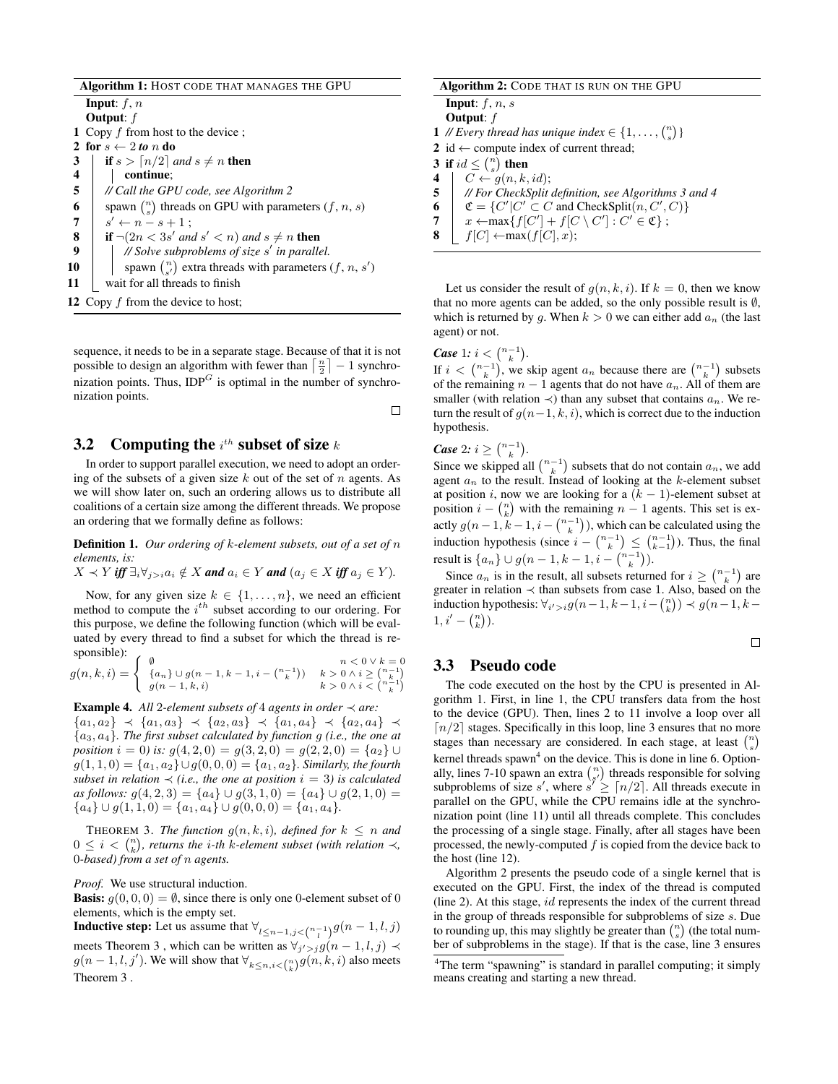|                | <b>Algorithm 1: HOST CODE THAT MANAGES THE GPU</b>                  |
|----------------|---------------------------------------------------------------------|
|                | <b>Input</b> : $f, n$                                               |
|                | <b>Output:</b> $f$                                                  |
|                | 1 Copy f from host to the device;                                   |
|                | 2 for $s \leftarrow 2$ to n do                                      |
| 3              | if $s > \lceil n/2 \rceil$ and $s \neq n$ then                      |
| 4              | continue:                                                           |
| 5              | // Call the GPU code, see Algorithm 2                               |
| 6              | spawn $\binom{n}{s}$ threads on GPU with parameters $(f, n, s)$     |
| $\overline{7}$ | $s' \leftarrow n - s + 1$                                           |
| 8              | <b>if</b> $\neg(2n < 3s'$ and $s' < n$ ) and $s \neq n$ <b>then</b> |
| 9              | // Solve subproblems of size $s'$ in parallel.                      |
| 10             | spawn $\binom{n}{s'}$ extra threads with parameters $(f, n, s')$    |
| 11             | wait for all threads to finish                                      |
|                | 12 Copy $f$ from the device to host;                                |

sequence, it needs to be in a separate stage. Because of that it is not possible to design an algorithm with fewer than  $\lceil \frac{n}{2} \rceil - 1$  synchronization points. Thus,  $IDP<sup>G</sup>$  is optimal in the number of synchronization points.

## **3.2** Computing the  $i^{th}$  subset of size  $k$

In order to support parallel execution, we need to adopt an ordering of the subsets of a given size  $k$  out of the set of  $n$  agents. As we will show later on, such an ordering allows us to distribute all coalitions of a certain size among the different threads. We propose an ordering that we formally define as follows:

Definition 1. *Our ordering of* k*-element subsets, out of a set of* n *elements, is:*

 $X \prec Y$  *iff*  $\exists_i \forall_{j>i} a_i \notin X$  *and*  $a_i \in Y$  *and*  $(a_j \in X$  *iff*  $a_j \in Y)$ *.* 

Now, for any given size  $k \in \{1, \ldots, n\}$ , we need an efficient method to compute the  $i^{th}$  subset according to our ordering. For this purpose, we define the following function (which will be evaluated by every thread to find a subset for which the thread is responsible):

$$
g(n,k,i) = \begin{cases} \n\emptyset & n < 0 \vee k = 0 \\ \n\{a_n\} \cup g(n-1,k-1,i-\binom{n-1}{k}) & k > 0 \wedge i \ge \binom{n-1}{k} \\ \ng(n-1,k,i) & k > 0 \wedge i < \binom{n-k}{k} \n\end{cases}
$$

**Example 4.** All 2-element subsets of 4 agents in order  $\prec$  are:  ${a_1, a_2} \prec {a_1, a_3} \prec {a_2, a_3} \prec {a_1, a_4} \prec {a_2, a_4} \prec$ {a3, a4}*. The first subset calculated by function* g *(i.e., the one at position*  $i = 0$ *) is:*  $g(4, 2, 0) = g(3, 2, 0) = g(2, 2, 0) = \{a_2\} \cup$  $g(1, 1, 0) = {a_1, a_2} ∪ g(0, 0, 0) = {a_1, a_2}$ *. Similarly, the fourth subset in relation*  $\prec$  *(i.e., the one at position i* = 3*) is calculated as follows:*  $g(4, 2, 3) = {a_4} ∪ g(3, 1, 0) = {a_4} ∪ g(2, 1, 0) =$  ${a_4} \cup g(1,1,0) = {a_1,a_4} \cup g(0,0,0) = {a_1,a_4}.$ 

**THEOREM 3.** *The function*  $g(n, k, i)$ *, defined for*  $k \leq n$  *and*  $0 \leq i < \binom{n}{k}$ , returns the *i*-th *k*-element subset (with relation  $\prec$ , 0*-based) from a set of* n *agents.*

*Proof.* We use structural induction.

**Basis:**  $q(0, 0, 0) = \emptyset$ , since there is only one 0-element subset of 0 elements, which is the empty set.

**Inductive step:** Let us assume that  $\forall_{l \leq n-1, j < {n-1 \choose l}} g(n-1, l, j)$ meets Theorem 3, which can be written as  $\forall j' > j} g(n-1, l, j) \prec$  $g(n-1, l, j')$ . We will show that  $\forall_{k \leq n, i < \binom{n}{k}} g(n, k, i)$  also meets Theorem 3 .

| <b>Algorithm 2: CODE THAT IS RUN ON THE GPU</b>                              |                                                                           |  |  |  |
|------------------------------------------------------------------------------|---------------------------------------------------------------------------|--|--|--|
|                                                                              | <b>Input</b> : $f, n, s$                                                  |  |  |  |
|                                                                              | <b>Output:</b> $f$                                                        |  |  |  |
|                                                                              | 1 // Every thread has unique index $\in \{1, \ldots, {n \choose s}\}\$    |  |  |  |
|                                                                              | 2 id $\leftarrow$ compute index of current thread;                        |  |  |  |
| 3 if $id \leq {n \choose s}$ then                                            |                                                                           |  |  |  |
| 4                                                                            | $C \leftarrow q(n,k,id);$                                                 |  |  |  |
| 5 <sup>5</sup>                                                               | // For CheckSplit definition, see Algorithms 3 and 4                      |  |  |  |
| $\mathfrak{C} = \{C'  C' \subset C \text{ and CheckSplit}(n, C', C)\}\$<br>6 |                                                                           |  |  |  |
| 7                                                                            | $x \leftarrow \max\{f[C'] + f[C \setminus C'] : C' \in \mathfrak{C}\}\;;$ |  |  |  |
| 8                                                                            | $f[C] \leftarrow max(f[C], x);$                                           |  |  |  |

Let us consider the result of  $q(n, k, i)$ . If  $k = 0$ , then we know that no more agents can be added, so the only possible result is  $\emptyset$ , which is returned by g. When  $k > 0$  we can either add  $a_n$  (the last agent) or not.

## *Case* 1*:*  $i < {n-1 \choose k}$ .

If  $i < \binom{n-1}{k}$ , we skip agent  $a_n$  because there are  $\binom{n-1}{k}$  subsets of the remaining  $n - 1$  agents that do not have  $a_n$ . All of them are smaller (with relation  $\prec$ ) than any subset that contains  $a_n$ . We return the result of  $g(n-1, k, i)$ , which is correct due to the induction hypothesis.

*Case* 2*:*  $i \geq {n-1 \choose k}$ .

 $\Box$ 

Since we skipped all  $\binom{n-1}{k}$  subsets that do not contain  $a_n$ , we add agent  $a_n$  to the result. Instead of looking at the k-element subset at position i, now we are looking for a  $(k - 1)$ -element subset at position  $i - \binom{n}{k}$  with the remaining  $n - 1$  agents. This set is exactly  $g(n-1, k-1, i-{n-1 \choose k})$ , which can be calculated using the induction hypothesis (since  $i - \binom{n-1}{k} \leq \binom{n-1}{k-1}$ ). Thus, the final result is  $\{a_n\} \cup g(n-1, k-1, i - \binom{n-1}{k})$ .

Since  $a_n$  is in the result, all subsets returned for  $i \geq \binom{n-1}{k}$  are greater in relation  $\prec$  than subsets from case 1. Also, based on the induction hypothesis:  $\forall i' > i} g(n-1, k-1, i - \binom{n}{k}) \prec g(n-1, k-1)$  $1, i' - \binom{n}{k}$ .

 $\Box$ 

#### 3.3 Pseudo code

The code executed on the host by the CPU is presented in Algorithm 1. First, in line 1, the CPU transfers data from the host to the device (GPU). Then, lines 2 to 11 involve a loop over all  $\lceil n/2 \rceil$  stages. Specifically in this loop, line 3 ensures that no more stages than necessary are considered. In each stage, at least  $\binom{n}{s}$ kernel threads spawn<sup>4</sup> on the device. This is done in line 6. Optionally, lines 7-10 spawn an extra  $\binom{n}{s'}$  threads responsible for solving subproblems of size s', where  $s' \geq \lceil n/2 \rceil$ . All threads execute in parallel on the GPU, while the CPU remains idle at the synchronization point (line 11) until all threads complete. This concludes the processing of a single stage. Finally, after all stages have been processed, the newly-computed  $f$  is copied from the device back to the host (line 12).

Algorithm 2 presents the pseudo code of a single kernel that is executed on the GPU. First, the index of the thread is computed (line 2). At this stage, id represents the index of the current thread in the group of threads responsible for subproblems of size s. Due to rounding up, this may slightly be greater than  $\binom{n}{s}$  (the total number of subproblems in the stage). If that is the case, line 3 ensures

<sup>&</sup>lt;sup>4</sup>The term "spawning" is standard in parallel computing; it simply means creating and starting a new thread.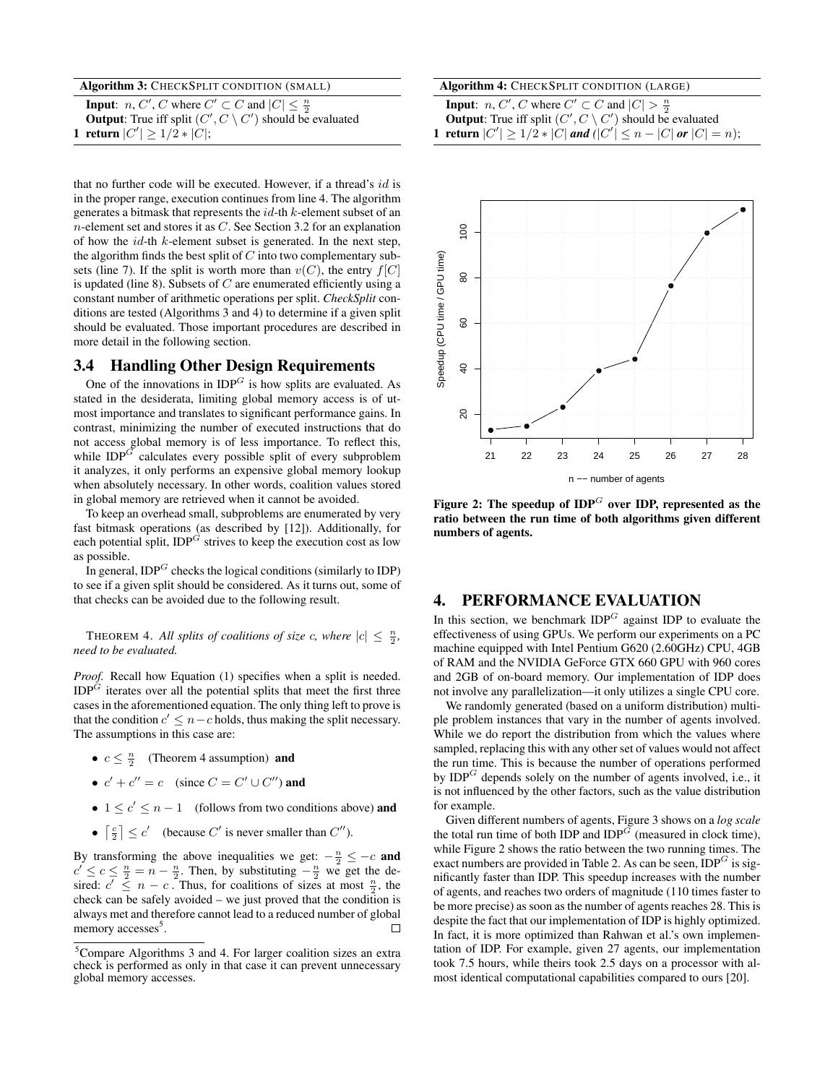| Algorithm 3: CHECKSPLIT CONDITION (SMALL)                                                     |
|-----------------------------------------------------------------------------------------------|
| <b>Input:</b> <i>n</i> , <i>C'</i> , <i>C</i> where $C' \subset C$ and $ C  \leq \frac{n}{2}$ |
| <b>Output:</b> True iff split $(C', C \setminus C')$ should be evaluated                      |
| 1 return $ C'  \geq 1/2 *  C $ ;                                                              |

that no further code will be executed. However, if a thread's id is in the proper range, execution continues from line 4. The algorithm generates a bitmask that represents the id-th k-element subset of an  $n$ -element set and stores it as  $C$ . See Section 3.2 for an explanation of how the  $id$ -th  $k$ -element subset is generated. In the next step, the algorithm finds the best split of  $C$  into two complementary subsets (line 7). If the split is worth more than  $v(C)$ , the entry  $f[C]$ is updated (line 8). Subsets of  $C$  are enumerated efficiently using a constant number of arithmetic operations per split. *CheckSplit* conditions are tested (Algorithms 3 and 4) to determine if a given split should be evaluated. Those important procedures are described in more detail in the following section.

## 3.4 Handling Other Design Requirements

One of the innovations in  $IDP<sup>G</sup>$  is how splits are evaluated. As stated in the desiderata, limiting global memory access is of utmost importance and translates to significant performance gains. In contrast, minimizing the number of executed instructions that do not access global memory is of less importance. To reflect this, while  $IDP^G$  calculates every possible split of every subproblem it analyzes, it only performs an expensive global memory lookup when absolutely necessary. In other words, coalition values stored in global memory are retrieved when it cannot be avoided.

To keep an overhead small, subproblems are enumerated by very fast bitmask operations (as described by [12]). Additionally, for each potential split,  $IDP<sup>G</sup>$  strives to keep the execution cost as low as possible.

In general,  $IDP<sup>G</sup>$  checks the logical conditions (similarly to IDP) to see if a given split should be considered. As it turns out, some of that checks can be avoided due to the following result.

THEOREM 4. All splits of coalitions of size c, where  $|c| \leq \frac{n}{2}$ , *need to be evaluated.*

*Proof.* Recall how Equation (1) specifies when a split is needed.  $IDP<sup>G</sup>$  iterates over all the potential splits that meet the first three cases in the aforementioned equation. The only thing left to prove is that the condition  $c' \leq n - c$  holds, thus making the split necessary. The assumptions in this case are:

- $c \leq \frac{n}{2}$  (Theorem 4 assumption) **and**
- $c' + c'' = c$  (since  $C = C' \cup C''$ ) and
- $1 \leq c' \leq n-1$  (follows from two conditions above) and
- $\lceil \frac{c}{2} \rceil \leq c'$  (because C' is never smaller than C'').

By transforming the above inequalities we get:  $-\frac{n}{2} \leq -c$  and  $c' \leq c \leq \frac{n}{2} = n - \frac{n}{2}$ . Then, by substituting  $-\frac{n}{2}$  we get the desired:  $c' \leq n - c$ . Thus, for coalitions of sizes at most  $\frac{n}{2}$ , the check can be safely avoided – we just proved that the condition is always met and therefore cannot lead to a reduced number of global memory accesses<sup>5</sup>.  $\Box$ 

| Algorithm 4: CHECKSPLIT CONDITION (LARGE) |  |
|-------------------------------------------|--|
|-------------------------------------------|--|

**Input**: *n*, *C'*, *C* where  $C' \subset C$  and  $|C| > \frac{n}{2}$ **Output:** True iff split  $(C', C \setminus C')$  should be evaluated 1 return  $|C'| \geq 1/2 * |C|$  and  $(|C'| \leq n - |C|$  or  $|C| = n$ );



Figure 2: The speedup of  $IDP^G$  over IDP, represented as the ratio between the run time of both algorithms given different numbers of agents.

#### 4. PERFORMANCE EVALUATION

In this section, we benchmark  $IDP<sup>G</sup>$  against IDP to evaluate the effectiveness of using GPUs. We perform our experiments on a PC machine equipped with Intel Pentium G620 (2.60GHz) CPU, 4GB of RAM and the NVIDIA GeForce GTX 660 GPU with 960 cores and 2GB of on-board memory. Our implementation of IDP does not involve any parallelization—it only utilizes a single CPU core.

We randomly generated (based on a uniform distribution) multiple problem instances that vary in the number of agents involved. While we do report the distribution from which the values where sampled, replacing this with any other set of values would not affect the run time. This is because the number of operations performed by  $IDP<sup>G</sup>$  depends solely on the number of agents involved, i.e., it is not influenced by the other factors, such as the value distribution for example.

Given different numbers of agents, Figure 3 shows on a *log scale* the total run time of both IDP and  $IDP^G$  (measured in clock time), while Figure 2 shows the ratio between the two running times. The exact numbers are provided in Table 2. As can be seen,  $IDP<sup>G</sup>$  is significantly faster than IDP. This speedup increases with the number of agents, and reaches two orders of magnitude (110 times faster to be more precise) as soon as the number of agents reaches 28. This is despite the fact that our implementation of IDP is highly optimized. In fact, it is more optimized than Rahwan et al.'s own implementation of IDP. For example, given 27 agents, our implementation took 7.5 hours, while theirs took 2.5 days on a processor with almost identical computational capabilities compared to ours [20].

<sup>5</sup>Compare Algorithms 3 and 4. For larger coalition sizes an extra check is performed as only in that case it can prevent unnecessary global memory accesses.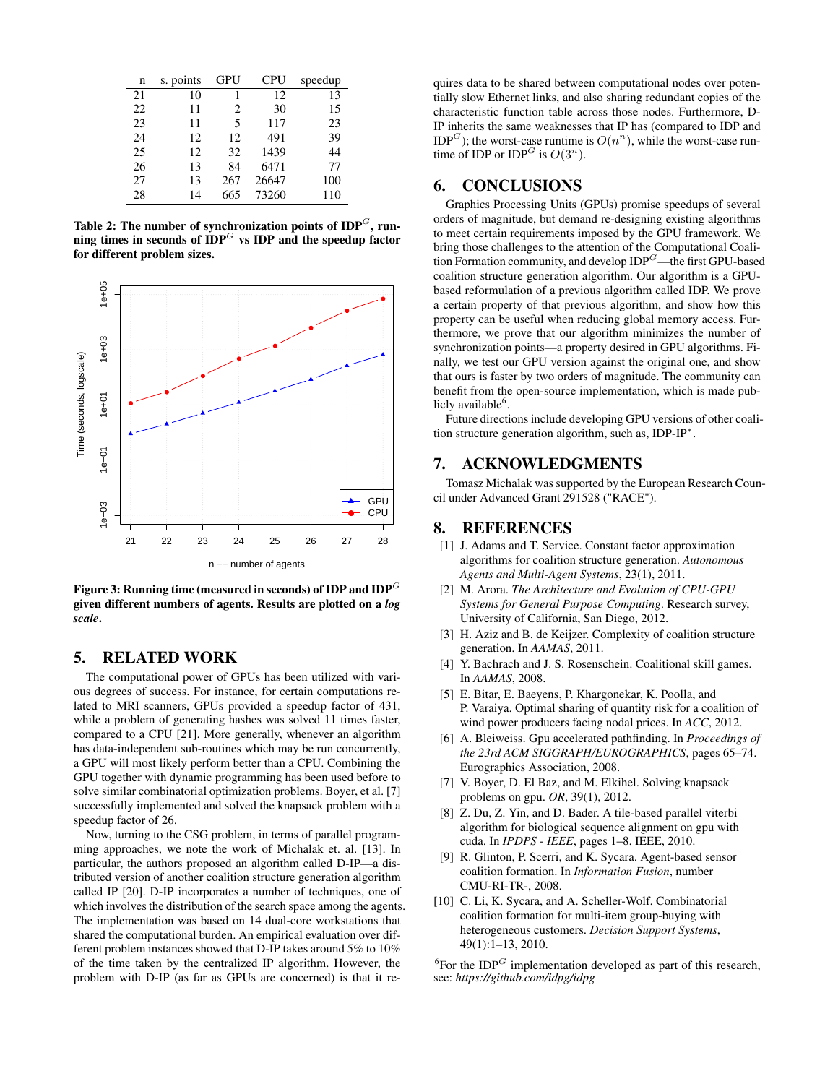| n  | s. points | GPU | <b>CPU</b> | speedup |
|----|-----------|-----|------------|---------|
| 21 | 10        | 1   | 12         | 13      |
| 22 | 11        | 2   | 30         | 15      |
| 23 | 11        | 5   | 117        | 23      |
| 24 | 12        | 12  | 491        | 39      |
| 25 | 12        | 32  | 1439       | 44      |
| 26 | 13        | 84  | 6471       | 77      |
| 27 | 13        | 267 | 26647      | 100     |
| 28 | 14        | 665 | 73260      | 110     |

Table 2: The number of synchronization points of  $\text{IDP}^G$ , running times in seconds of  $IDP^G$  vs  $IDP$  and the speedup factor for different problem sizes.



Figure 3: Running time (measured in seconds) of IDP and  $\mathbf{IDP}^G$ given different numbers of agents. Results are plotted on a *log scale*.

## 5. RELATED WORK

The computational power of GPUs has been utilized with various degrees of success. For instance, for certain computations related to MRI scanners, GPUs provided a speedup factor of 431, while a problem of generating hashes was solved 11 times faster, compared to a CPU [21]. More generally, whenever an algorithm has data-independent sub-routines which may be run concurrently, a GPU will most likely perform better than a CPU. Combining the GPU together with dynamic programming has been used before to solve similar combinatorial optimization problems. Boyer, et al. [7] successfully implemented and solved the knapsack problem with a speedup factor of 26.

Now, turning to the CSG problem, in terms of parallel programming approaches, we note the work of Michalak et. al. [13]. In particular, the authors proposed an algorithm called D-IP—a distributed version of another coalition structure generation algorithm called IP [20]. D-IP incorporates a number of techniques, one of which involves the distribution of the search space among the agents. The implementation was based on 14 dual-core workstations that shared the computational burden. An empirical evaluation over different problem instances showed that D-IP takes around 5% to 10% of the time taken by the centralized IP algorithm. However, the problem with D-IP (as far as GPUs are concerned) is that it requires data to be shared between computational nodes over potentially slow Ethernet links, and also sharing redundant copies of the characteristic function table across those nodes. Furthermore, D-IP inherits the same weaknesses that IP has (compared to IDP and IDP<sup>G</sup>); the worst-case runtime is  $O(n^n)$ , while the worst-case runtime of IDP or IDP<sup>G</sup> is  $O(3^n)$ .

## 6. CONCLUSIONS

Graphics Processing Units (GPUs) promise speedups of several orders of magnitude, but demand re-designing existing algorithms to meet certain requirements imposed by the GPU framework. We bring those challenges to the attention of the Computational Coalition Formation community, and develop  $IDP<sup>G</sup>$ —the first GPU-based coalition structure generation algorithm. Our algorithm is a GPUbased reformulation of a previous algorithm called IDP. We prove a certain property of that previous algorithm, and show how this property can be useful when reducing global memory access. Furthermore, we prove that our algorithm minimizes the number of synchronization points—a property desired in GPU algorithms. Finally, we test our GPU version against the original one, and show that ours is faster by two orders of magnitude. The community can benefit from the open-source implementation, which is made publicly available<sup>6</sup>.

Future directions include developing GPU versions of other coalition structure generation algorithm, such as, IDP-IP<sup>∗</sup> .

#### 7. ACKNOWLEDGMENTS

Tomasz Michalak was supported by the European Research Council under Advanced Grant 291528 ("RACE").

## 8. REFERENCES

- [1] J. Adams and T. Service. Constant factor approximation algorithms for coalition structure generation. *Autonomous Agents and Multi-Agent Systems*, 23(1), 2011.
- [2] M. Arora. *The Architecture and Evolution of CPU-GPU Systems for General Purpose Computing*. Research survey, University of California, San Diego, 2012.
- [3] H. Aziz and B. de Keijzer. Complexity of coalition structure generation. In *AAMAS*, 2011.
- [4] Y. Bachrach and J. S. Rosenschein. Coalitional skill games. In *AAMAS*, 2008.
- [5] E. Bitar, E. Baeyens, P. Khargonekar, K. Poolla, and P. Varaiya. Optimal sharing of quantity risk for a coalition of wind power producers facing nodal prices. In *ACC*, 2012.
- [6] A. Bleiweiss. Gpu accelerated pathfinding. In *Proceedings of the 23rd ACM SIGGRAPH/EUROGRAPHICS*, pages 65–74. Eurographics Association, 2008.
- [7] V. Boyer, D. El Baz, and M. Elkihel. Solving knapsack problems on gpu. *OR*, 39(1), 2012.
- [8] Z. Du, Z. Yin, and D. Bader. A tile-based parallel viterbi algorithm for biological sequence alignment on gpu with cuda. In *IPDPS - IEEE*, pages 1–8. IEEE, 2010.
- [9] R. Glinton, P. Scerri, and K. Sycara. Agent-based sensor coalition formation. In *Information Fusion*, number CMU-RI-TR-, 2008.
- [10] C. Li, K. Sycara, and A. Scheller-Wolf. Combinatorial coalition formation for multi-item group-buying with heterogeneous customers. *Decision Support Systems*, 49(1):1–13, 2010.

 ${}^{6}$ For the IDP<sup>G</sup> implementation developed as part of this research, see: *https://github.com/idpg/idpg*